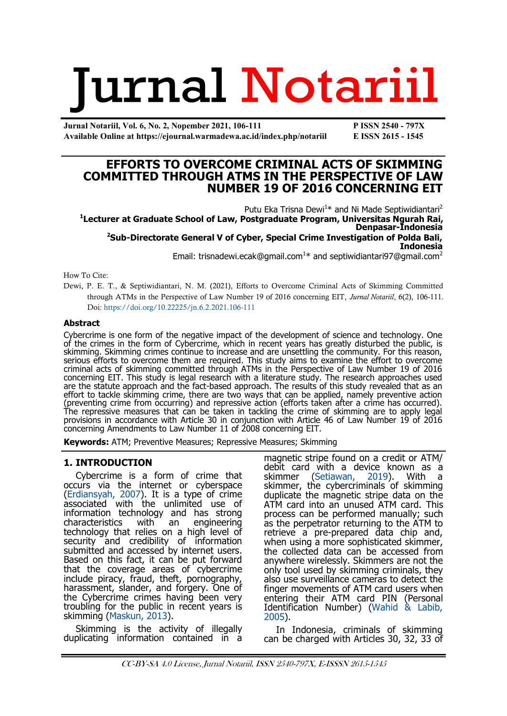# **Jurnal Notariil**

**Jurnal Notariil, Vol. 6, No. 2, Nopember 2021, 106-111 P ISSN 2540 - 797X Available Online at https://ejournal.warmadewa.ac.id/index.php/notariil E ISSN 2615 - 1545**

# **EFFORTS TO OVERCOME CRIMINAL ACTS OF SKIMMING COMMITTED THROUGH ATMS IN THE PERSPECTIVE OF LAW NUMBER 19 OF 2016 CONCERNING EIT**

Putu Eka Trisna Dewi<sup>1\*</sup> and Ni Made Septiwidiantari<sup>2</sup> **1 Lecturer at Graduate School of Law, Postgraduate Program, Universitas Ngurah Rai, Denpasar-Indonesia <sup>2</sup>Sub-Directorate General V of Cyber, Special Crime Investigation of Polda Bali, Indonesia** Email: [trisnadewi.ecak@gmail.com](mailto:trisnadewi.ecak@gmail.com1)<sup>1\*</sup> and [septiwidiantari97@gmail.com](mailto:septiwidiantari97@gmail.com2)<sup>2</sup>

How To Cite:

Dewi, P. E. T., & Septiwidiantari, N. M. (2021), Efforts to Overcome Criminal Acts of Skimming Committed through ATMs in the Perspective of Law Number 19 of 2016 concerning EIT, *Jurnal Notariil*, 6(2), 106-111. Doi:<https://doi.org/10.22225/jn.6.2.2021.106-111>

### **Abstract**

Cybercrime is one form of the negative impact of the development of science and technology. One of the crimes in the form of Cybercrime, which in recent years has greatly disturbed the public, is skimming. Skimming crimes continue to increase and are unsettling the community. For this reason, serious efforts to overcome them are required. This study aims to examine the effort to overcome criminal acts of skimming committed through ATMs in the Perspective of Law Number 19 of 2016 concerning EIT. This study is legal research with a literature study. The research approaches used are the statute approach and the fact-based approach. The results of this study revealed that as an effort to tackle skimming crime, there are two ways that can be applied, namely preventive action (preventing crime from occurring) and repressive action (efforts taken after a crime has occurred). The repressive measures that can be taken in tackling the crime of skimming are to apply legal provisions in accordance with Article 30 in conjunction with Article 46 of Law Number 19 of 2016 concerning Amendments to Law Number 11 of 2008 concerning EIT.

**Keywords:** ATM; Preventive Measures; Repressive Measures; Skimming

## **1. INTRODUCTION**

Cybercrime is a form of crime that occurs via the internet or cyberspace [\(Erdiansyah, 2007\)](#page-4-0). It is a type of crime associated with the unlimited use of information technology and has strong<br>characteristics with an engineering characteristics with an technology that relies on a high level of security and credibility of information submitted and accessed by internet users. Based on this fact, it can be put forward that the coverage areas of cybercrime include piracy, fraud, theft, pornography, harassment, slander, and forgery. One of the Cybercrime crimes having been very troubling for the public in recent years is skimming ([Maskun, 2013\).](#page-4-0)

Skimming is the activity of illegally duplicating information contained in a magnetic stripe found on a credit or ATM/ debit card with a device known as a skimmer [\(Setiawan, 2019\).](#page-4-0) With a skimmer, the cybercriminals of skimming duplicate the magnetic stripe data on the ATM card into an unused ATM card. This process can be performed manually; such as the perpetrator returning to the ATM to retrieve a pre-prepared data chip and, when using a more sophisticated skimmer, the collected data can be accessed from anywhere wirelessly. Skimmers are not the only tool used by skimming criminals, they also use surveillance cameras to detect the finger movements of ATM card users when entering their ATM card PIN (Personal Identification Number) ([Wahid & Labib,](#page-4-0)  [2005\)](#page-4-0).

In Indonesia, criminals of skimming can be charged with Articles 30, 32, 33 of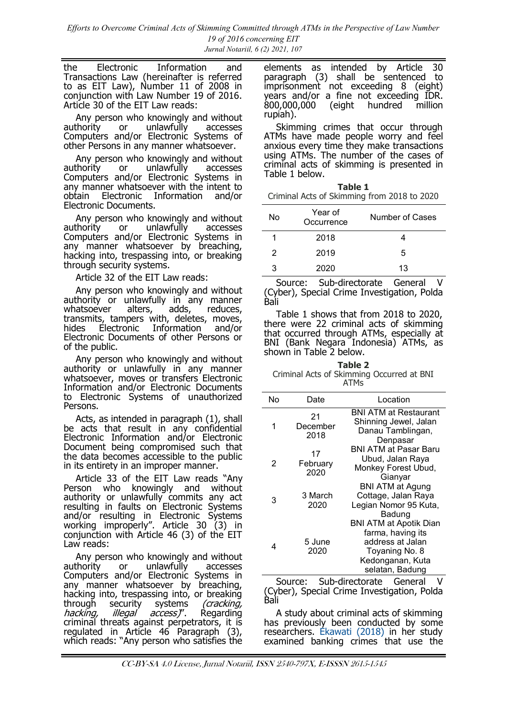the Electronic Information and Transactions Law (hereinafter is referred to as EIT Law), Number 11 of 2008 in conjunction with Law Number 19 of 2016. Article 30 of the EIT Law reads:

Any person who knowingly and without<br>thority or unlawfully accesses authority or unlawfully accesses Computers and/or Electronic Systems of other Persons in any manner whatsoever.

Any person who knowingly and without authority or unlawfully accesses Computers and/or Electronic Systems in any manner whatsoever with the intent to obtain Electronic Information and/or Electronic Documents.

Any person who knowingly and without<br>authority or unlawfully accesses  $unlawfuly$  accesses Computers and/or Electronic Systems in any manner whatsoever by breaching, hacking into, trespassing into, or breaking through security systems.

Article 32 of the EIT Law reads:

Any person who knowingly and without authority or unlawfully in any manner whatsoever alters, adds, reduces, transmits, tampers with, deletes, moves, hides Electronic Information and/or Electronic Documents of other Persons or of the public.

Any person who knowingly and without authority or unlawfully in any manner whatsoever, moves or transfers Electronic Information and/or Electronic Documents to Electronic Systems of unauthorized Persons.

Acts, as intended in paragraph (1), shall be acts that result in any confidential Electronic Information and/or Electronic Document being compromised such that the data becomes accessible to the public in its entirety in an improper manner.

Article 33 of the EIT Law reads "Any Person who knowingly and without authority or unlawfully commits any act resulting in faults on Electronic Systems and/or resulting in Electronic Systems working improperly". Article 30 (3) in conjunction with Article 46 (3) of the EIT Law reads:

Any person who knowingly and without authority or unlawfully accesses Computers and/or Electronic Systems in any manner whatsoever by breaching, hacking into, trespassing into, or breaking through security systems *(cracking,<br>hacking, illegal access)*". Regarding h*acking, illegal access)*". Regarding criminal threats against perpetrators, it is regulated in Article 46 Paragraph (3), which reads: "Any person who satisfies the

elements as intended by Article 30 paragraph (3) shall be sentenced to imprisonment not exceeding 8 (eight) years and/or a fine not exceeding IDR. 800,000,000 (eight hundred million rupiah).

Skimming crimes that occur through ATMs have made people worry and feel anxious every time they make transactions using ATMs. The number of the cases of criminal acts of skimming is presented in Table 1 below.

| Table 1 |                                             |  |  |  |
|---------|---------------------------------------------|--|--|--|
|         | Criminal Acts of Skimming from 2018 to 2020 |  |  |  |

| No | Year of<br>Occurrence | Number of Cases |
|----|-----------------------|-----------------|
|    | 2018                  |                 |
| 2  | 2019                  | 5               |
| ঽ  | 2020                  | 13              |

Source: Sub-directorate General (Cyber), Special Crime Investigation, Polda Bali

Table 1 shows that from 2018 to 2020, there were 22 criminal acts of skimming that occurred through ATMs, especially at BNI (Bank Negara Indonesia) ATMs, as shown in Table 2 below.

**Table 2** Criminal Acts of Skimming Occurred at BNI ATMs

| No | Date                   | Location                                                                                                                        |
|----|------------------------|---------------------------------------------------------------------------------------------------------------------------------|
|    | 21<br>December<br>2018 | <b>BNI ATM at Restaurant</b><br>Shinning Jewel, Jalan<br>Danau Tamblingan,<br>Denpasar                                          |
| 2  | 17<br>February<br>2020 | BNI ATM at Pasar Baru<br>Ubud, Jalan Raya<br>Monkey Forest Ubud,<br>Gianyar                                                     |
| 3  | 3 March<br>2020        | <b>BNI ATM at Agung</b><br>Cottage, Jalan Raya<br>Legian Nomor 95 Kuta,<br>Badung                                               |
| 4  | 5 June<br>2020         | <b>BNI ATM at Apotik Dian</b><br>farma, having its<br>address at Jalan<br>Toyaning No. 8<br>Kedonganan, Kuta<br>selatan, Badung |

Source: Sub-directorate General (Cyber), Special Crime Investigation, Polda Bali

A study about criminal acts of skimming has previously been conducted by some researchers. [Ekawati \(2018\)](#page-4-0) in her study examined banking crimes that use the

CC-BY-SA 4.0 License, Jurnal Notariil, ISSN 2540-797X, E-ISSSN 2615-1545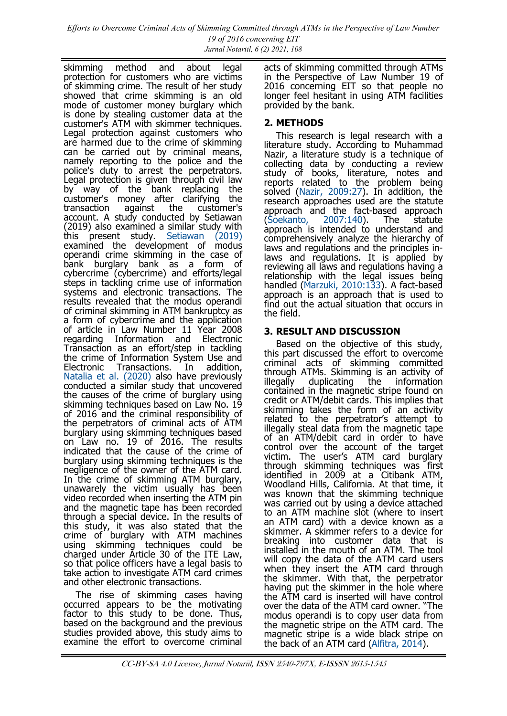skimming method and about legal protection for customers who are victims of skimming crime. The result of her study showed that crime skimming is an old mode of customer money burglary which is done by stealing customer data at the customer's ATM with skimmer techniques. Legal protection against customers who are harmed due to the crime of skimming can be carried out by criminal means, namely reporting to the police and the police's duty to arrest the perpetrators. Legal protection is given through civil law by way of the bank replacing the customer's money after clarifying the<br>transaction against the customer's customer's account. A study conducted by Setiawan (2019) also examined a similar study with this present study. [Setiawan \(2019\)](#page-4-0) examined the development of modus operandi crime skimming in the case of bank burglary bank as a form of cybercrime (cybercrime) and efforts/legal steps in tackling crime use of information systems and electronic transactions. The results revealed that the modus operandi of criminal skimming in ATM bankruptcy as a form of cybercrime and the application of article in Law Number 11 Year 2008 regarding Information and Electronic Transaction as an effort/step in tackling the crime of Information System Use and Electronic Transactions. In addition, [Natalia et al. \(2020\)](#page-4-0) also have previously conducted a similar study that uncovered the causes of the crime of burglary using skimming techniques based on Law No. 19 of 2016 and the criminal responsibility of the perpetrators of criminal acts of ATM burglary using skimming techniques based on Law no. 19 of 2016. The results indicated that the cause of the crime of burglary using skimming techniques is the negligence of the owner of the ATM card. In the crime of skimming ATM burglary, unawarely the victim usually has been video recorded when inserting the ATM pin and the magnetic tape has been recorded through a special device. In the results of this study, it was also stated that the crime of burglary with ATM machines using skimming techniques could be charged under Article 30 of the ITE Law, so that police officers have a legal basis to take action to investigate ATM card crimes and other electronic transactions.

The rise of skimming cases having occurred appears to be the motivating factor to this study to be done. Thus, based on the background and the previous studies provided above, this study aims to examine the effort to overcome criminal

acts of skimming committed through ATMs in the Perspective of Law Number 19 of 2016 concerning EIT so that people no longer feel hesitant in using ATM facilities provided by the bank.

# **2. METHODS**

This research is legal research with a literature study. According to Muhammad Nazir, a literature study is a technique of collecting data by conducting a review study of books, literature, notes and reports related to the problem being solved [\(Nazir, 2009:27\).](#page-4-0) In addition, the research approaches used are the statute approach and the fact-based approach<br>(Soekanto, 2007:140). The statute [\(Soekanto, 2007:140\).](#page-4-0) The statute approach is intended to understand and comprehensively analyze the hierarchy of laws and regulations and the principles inlaws and regulations. It is applied by reviewing all laws and regulations having a relationship with the legal issues being handled [\(Marzuki, 2010:133\).](#page-4-0) A fact-based approach is an approach that is used to find out the actual situation that occurs in the field.

# **3. RESULT AND DISCUSSION**

Based on the objective of this study, this part discussed the effort to overcome criminal acts of skimming committed through ATMs. Skimming is an activity of illegally duplicating the information contained in the magnetic stripe found on credit or ATM/debit cards. This implies that skimming takes the form of an activity related to the perpetrator's attempt to illegally steal data from the magnetic tape of an ATM/debit card in order to have control over the account of the target victim. The user's ATM card burglary through skimming techniques was first identified in 2009 at a Citibank ATM, Woodland Hills, California. At that time, it was known that the skimming technique was carried out by using a device attached to an ATM machine slot (where to insert an ATM card) with a device known as a skimmer. A skimmer refers to a device for breaking into customer data that is installed in the mouth of an ATM. The tool will copy the data of the ATM card users when they insert the ATM card through the skimmer. With that, the perpetrator having put the skimmer in the hole where the ATM card is inserted will have control over the data of the ATM card owner. "The modus operandi is to copy user data from the magnetic stripe on the ATM card. The magnetic stripe is a wide black stripe on the back of an ATM card ([Alfitra, 2014\)](#page-4-0).

CC-BY-SA 4.0 License, Jurnal Notariil, ISSN 2540-797X, E-ISSSN 2615-1545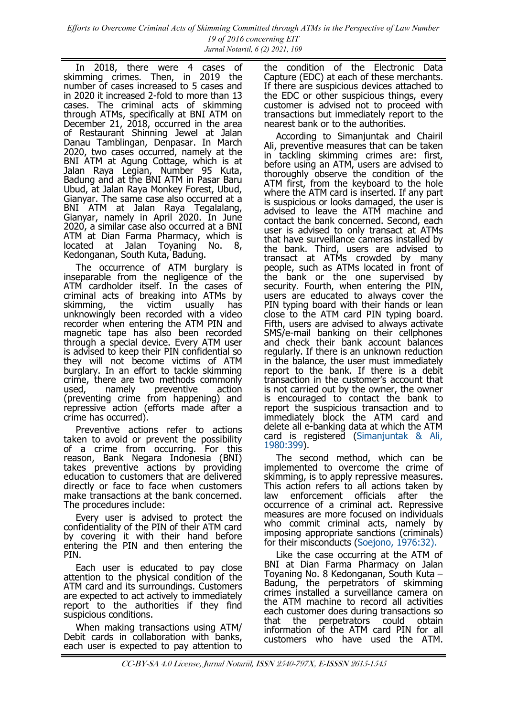In 2018, there were 4 cases of skimming crimes. Then, in 2019 the number of cases increased to 5 cases and in 2020 it increased 2-fold to more than 13 cases. The criminal acts of skimming through ATMs, specifically at BNI ATM on December 21, 2018, occurred in the area of Restaurant Shinning Jewel at Jalan Danau Tamblingan, Denpasar. In March 2020, two cases occurred, namely at the BNI ATM at Agung Cottage, which is at Jalan Raya Legian, Number 95 Kuta, Badung and at the BNI ATM in Pasar Baru Ubud, at Jalan Raya Monkey Forest, Ubud, Gianyar. The same case also occurred at a BNI ATM at Jalan Raya Tegalalang, Gianyar, namely in April 2020. In June 2020, a similar case also occurred at a BNI ATM at Dian Farma Pharmacy, which is<br>located at Jalan Toyaning No. 8, located at Jalan Toyaning No. 8, Kedonganan, South Kuta, Badung.

The occurrence of ATM burglary is inseparable from the negligence of the ATM cardholder itself. In the cases of criminal acts of breaking into ATMs by skimming, the victim usually has unknowingly been recorded with a video recorder when entering the ATM PIN and magnetic tape has also been recorded through a special device. Every ATM user is advised to keep their PIN confidential so they will not become victims of ATM burglary. In an effort to tackle skimming crime, there are two methods commonly<br>used, namely preventive action used, namely preventive action (preventing crime from happening) and repressive action (efforts made after a crime has occurred).

Preventive actions refer to actions taken to avoid or prevent the possibility of a crime from occurring. For this reason, Bank Negara Indonesia (BNI) takes preventive actions by providing education to customers that are delivered directly or face to face when customers make transactions at the bank concerned. The procedures include:

Every user is advised to protect the confidentiality of the PIN of their ATM card by covering it with their hand before entering the PIN and then entering the PIN.

Each user is educated to pay close attention to the physical condition of the ATM card and its surroundings. Customers are expected to act actively to immediately report to the authorities if they find suspicious conditions.

When making transactions using ATM/ Debit cards in collaboration with banks, each user is expected to pay attention to the condition of the Electronic Data Capture (EDC) at each of these merchants. If there are suspicious devices attached to the EDC or other suspicious things, every customer is advised not to proceed with transactions but immediately report to the nearest bank or to the authorities.

According to Simanjuntak and Chairil Ali, preventive measures that can be taken in tackling skimming crimes are: first, before using an ATM, users are advised to thoroughly observe the condition of the ATM first, from the keyboard to the hole where the ATM card is inserted. If any part is suspicious or looks damaged, the user is advised to leave the ATM machine and contact the bank concerned. Second, each user is advised to only transact at ATMs that have surveillance cameras installed by the bank. Third, users are advised to transact at ATMs crowded by many people, such as ATMs located in front of the bank or the one supervised by security. Fourth, when entering the PIN, users are educated to always cover the PIN typing board with their hands or lean close to the ATM card PIN typing board. Fifth, users are advised to always activate SMS/e-mail banking on their cellphones and check their bank account balances regularly. If there is an unknown reduction in the balance, the user must immediately report to the bank. If there is a debit transaction in the customer's account that is not carried out by the owner, the owner is encouraged to contact the bank to report the suspicious transaction and to immediately block the ATM card and delete all e-banking data at which the ATM card is registered [\(Simanjuntak & Ali,](#page-4-0)  [1980:399\)](#page-4-0).

The second method, which can be implemented to overcome the crime of skimming, is to apply repressive measures. This action refers to all actions taken by law enforcement officials after the occurrence of a criminal act. Repressive measures are more focused on individuals who commit criminal acts, namely by imposing appropriate sanctions (criminals) for their misconducts [\(Soejono, 1976:32\).](#page-4-0)

Like the case occurring at the ATM of BNI at Dian Farma Pharmacy on Jalan Toyaning No. 8 Kedonganan, South Kuta – Badung, the perpetrators of skimming crimes installed a surveillance camera on the ATM machine to record all activities each customer does during transactions so<br>that the perpetrators could obtain that the perpetrators could information of the ATM card PIN for all customers who have used the ATM.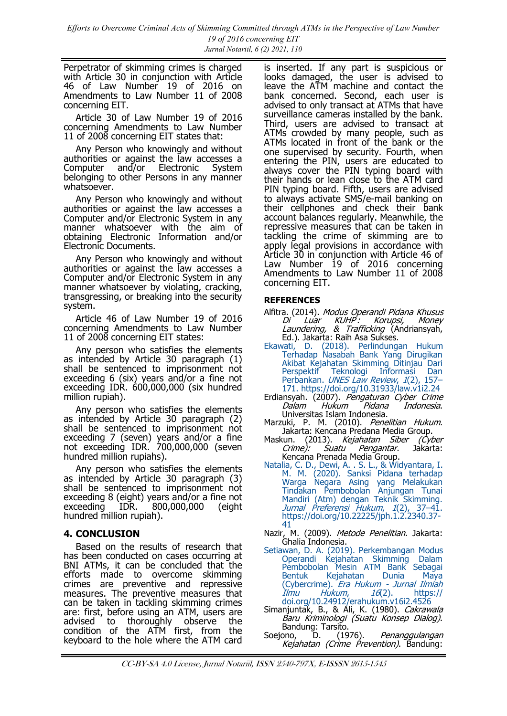<span id="page-4-0"></span>Perpetrator of skimming crimes is charged with Article 30 in conjunction with Article 46 of Law Number 19 of 2016 on Amendments to Law Number 11 of 2008 concerning EIT.

Article 30 of Law Number 19 of 2016 concerning Amendments to Law Number 11 of 2008 concerning EIT states that:

Any Person who knowingly and without authorities or against the law accesses a<br>Computer and/or Electronic System Computer and/or Electronic System belonging to other Persons in any manner whatsoever.

Any Person who knowingly and without authorities or against the law accesses a Computer and/or Electronic System in any manner whatsoever with the aim of obtaining Electronic Information and/or Electronic Documents.

Any Person who knowingly and without authorities or against the law accesses a Computer and/or Electronic System in any manner whatsoever by violating, cracking, transgressing, or breaking into the security system.

Article 46 of Law Number 19 of 2016 concerning Amendments to Law Number 11 of 2008 concerning EIT states:

Any person who satisfies the elements as intended by Article 30 paragraph (1) shall be sentenced to imprisonment not exceeding 6 (six) years and/or a fine not exceeding IDR. 600,000,000 (six hundred million rupiah).

Any person who satisfies the elements as intended by Article 30 paragraph (2) shall be sentenced to imprisonment not exceeding 7 (seven) years and/or a fine not exceeding IDR. 700,000,000 (seven hundred million rupiahs).

Any person who satisfies the elements as intended by Article 30 paragraph (3) shall be sentenced to imprisonment not exceeding 8 (eight) years and/or a fine not exceeding IDR. 800,000,000 (eight hundred million rupiah).

## **4. CONCLUSION**

Based on the results of research that has been conducted on cases occurring at BNI ATMs, it can be concluded that the efforts made to overcome skimming crimes are preventive and repressive measures. The preventive measures that can be taken in tackling skimming crimes are: first, before using an ATM, users are advised to thoroughly observe the condition of the ATM first, from the keyboard to the hole where the ATM card is inserted. If any part is suspicious or looks damaged, the user is advised to leave the ATM machine and contact the bank concerned. Second, each user is advised to only transact at ATMs that have surveillance cameras installed by the bank. Third, users are advised to transact at ATMs crowded by many people, such as ATMs located in front of the bank or the one supervised by security. Fourth, when entering the PIN, users are educated to always cover the PIN typing board with their hands or lean close to the ATM card PIN typing board. Fifth, users are advised to always activate SMS/e-mail banking on their cellphones and check their bank account balances regularly. Meanwhile, the repressive measures that can be taken in tackling the crime of skimming are to apply legal provisions in accordance with Article 30 in conjunction with Article 46 of Law Number 19 of 2016 concerning Amendments to Law Number 11 of 2008 concerning EIT.

## **REFERENCES**

Alfitra. (2014). *Modus Operandi Pidana Khusus*<br>Di Luar KUHP: Korupsi, Money Di Luar KUHP : Korupsi, Money Laundering, & Trafficking (Andriansyah, Ed.). Jakarta: Raih Asa Sukses.

- [Ekawati, D. \(2018\). Perlindungan Hukum](https://doi.org/10.31933/law.v1i2.24)  [Terhadap Nasabah Bank Yang Dirugikan](https://doi.org/10.31933/law.v1i2.24)  [Akibat Kejahatan Skimming Ditinjau Dari](https://doi.org/10.31933/law.v1i2.24)  [Perspektif Teknologi Informasi Dan](https://doi.org/10.31933/law.v1i2.24)  Perbankan. [UNES Law Review](https://doi.org/10.31933/law.v1i2.24), 1(2), 157-[171. https://doi.org/10.31933/law.v1i2.24](https://doi.org/10.31933/law.v1i2.24)
- Erdiansyah. (2007). Pengaturan Cyber Crime Dalam Hukum Pidana Indonesia. Universitas Islam Indonesia.
- Marzuki, P. M. (2010). Penelitian Hukum. Jakarta: Kencana Predana Media Group.
- Maskun. (2013). *Kejahatan Siber (Cyber<br>Crime): Suatu Pengantar*. Jakarta: Pengantar. Jakarta: Kencana Prenada Media Group.
- [Natalia, C. D., Dewi, A. . S. L., & Widyantara, I.](https://doi.org/10.22225/jph.1.2.2340.37-41)  [M. M. \(2020\). Sanksi Pidana terhadap](https://doi.org/10.22225/jph.1.2.2340.37-41)  [Warga Negara Asing yang Melakukan](https://doi.org/10.22225/jph.1.2.2340.37-41)  [Tindakan Pembobolan Anjungan Tunai](https://doi.org/10.22225/jph.1.2.2340.37-41)  [Mandiri \(Atm\) dengan Teknik Skimming.](https://doi.org/10.22225/jph.1.2.2340.37-41)  [Jurnal Preferensi Hukum](https://doi.org/10.22225/jph.1.2.2340.37-41), 1(2), 37–41. [https://doi.org/10.22225/jph.1.2.2340.37](https://doi.org/10.22225/jph.1.2.2340.37-41)- [41](https://doi.org/10.22225/jph.1.2.2340.37-41)
- Nazir, M. (2009). Metode Penelitian. Jakarta: Ghalia Indonesia.
- [Setiawan, D. A. \(2019\). Perkembangan Modus](https://doi.org/10.24912/erahukum.v16i2.4526)  [Operandi Kejahatan Skimming Dalam](https://doi.org/10.24912/erahukum.v16i2.4526)  [Pembobolan Mesin ATM Bank Sebagai](https://doi.org/10.24912/erahukum.v16i2.4526)  [Bentuk Kejahatan Dunia Maya](https://doi.org/10.24912/erahukum.v16i2.4526)  [\(Cybercrime\).](https://doi.org/10.24912/erahukum.v16i2.4526) *Era Hukum - Jurnal Ilmiah*<br>*Ilmu Hukum, 16*(2). https:// Ilmu Hukum, 16[\(2\). https://](https://doi.org/10.24912/erahukum.v16i2.4526) [doi.org/10.24912/erahukum.v16i2.4526](https://doi.org/10.24912/erahukum.v16i2.4526)
- Simanjuntak, B., & Ali, K. (1980). Cakrawala Baru Kriminologi (Suatu Konsep Dialog).
- Bandung: Tarsito.<br>Soejono, D. (1976). Penanggulangan Kejahatan (Crime Prevention). Bandung: